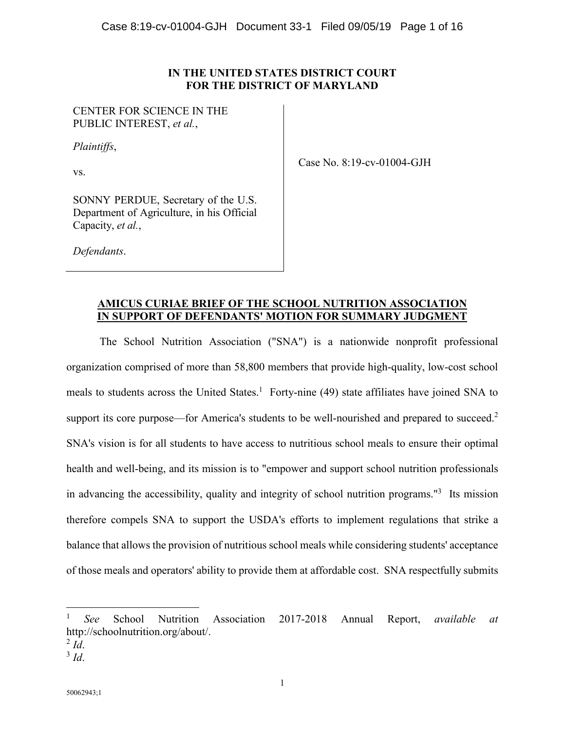# **IN THE UNITED STATES DISTRICT COURT FOR THE DISTRICT OF MARYLAND**

CENTER FOR SCIENCE IN THE PUBLIC INTEREST, *et al.*,

*Plaintiffs*,

*Defendants*.

vs.

Case No. 8:19-cv-01004-GJH

SONNY PERDUE, Secretary of the U.S. Department of Agriculture, in his Official Capacity, *et al.*,

> **AMICUS CURIAE BRIEF OF THE SCHOOL NUTRITION ASSOCIATION IN SUPPORT OF DEFENDANTS' MOTION FOR SUMMARY JUDGMENT**

The School Nutrition Association ("SNA") is a nationwide nonprofit professional organization comprised of more than 58,800 members that provide high-quality, low-cost school meals to students across the United States.<sup>1</sup> Forty-nine (49) state affiliates have joined SNA to support its core purpose—for America's students to be well-nourished and prepared to succeed.<sup>2</sup> SNA's vision is for all students to have access to nutritious school meals to ensure their optimal health and well-being, and its mission is to "empower and support school nutrition professionals in advancing the accessibility, quality and integrity of school nutrition programs."<sup>3</sup> Its mission therefore compels SNA to support the USDA's efforts to implement regulations that strike a balance that allows the provision of nutritious school meals while considering students' acceptance of those meals and operators' ability to provide them at affordable cost. SNA respectfully submits

<sup>1</sup> *See* School Nutrition Association 2017-2018 Annual Report, *available at* http://schoolnutrition.org/about/.

 $^2$  *Id.* 

<sup>3</sup> *Id*.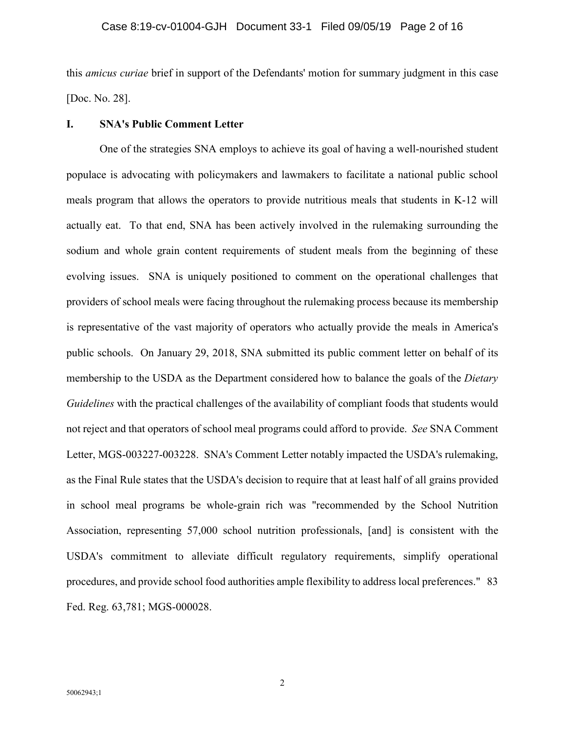this *amicus curiae* brief in support of the Defendants' motion for summary judgment in this case [Doc. No. 28].

#### **I. SNA's Public Comment Letter**

One of the strategies SNA employs to achieve its goal of having a well-nourished student populace is advocating with policymakers and lawmakers to facilitate a national public school meals program that allows the operators to provide nutritious meals that students in K-12 will actually eat. To that end, SNA has been actively involved in the rulemaking surrounding the sodium and whole grain content requirements of student meals from the beginning of these evolving issues. SNA is uniquely positioned to comment on the operational challenges that providers of school meals were facing throughout the rulemaking process because its membership is representative of the vast majority of operators who actually provide the meals in America's public schools. On January 29, 2018, SNA submitted its public comment letter on behalf of its membership to the USDA as the Department considered how to balance the goals of the *Dietary Guidelines* with the practical challenges of the availability of compliant foods that students would not reject and that operators of school meal programs could afford to provide. *See* SNA Comment Letter, MGS-003227-003228. SNA's Comment Letter notably impacted the USDA's rulemaking, as the Final Rule states that the USDA's decision to require that at least half of all grains provided in school meal programs be whole-grain rich was "recommended by the School Nutrition Association, representing 57,000 school nutrition professionals, [and] is consistent with the USDA's commitment to alleviate difficult regulatory requirements, simplify operational procedures, and provide school food authorities ample flexibility to address local preferences." 83 Fed. Reg. 63,781; MGS-000028.

2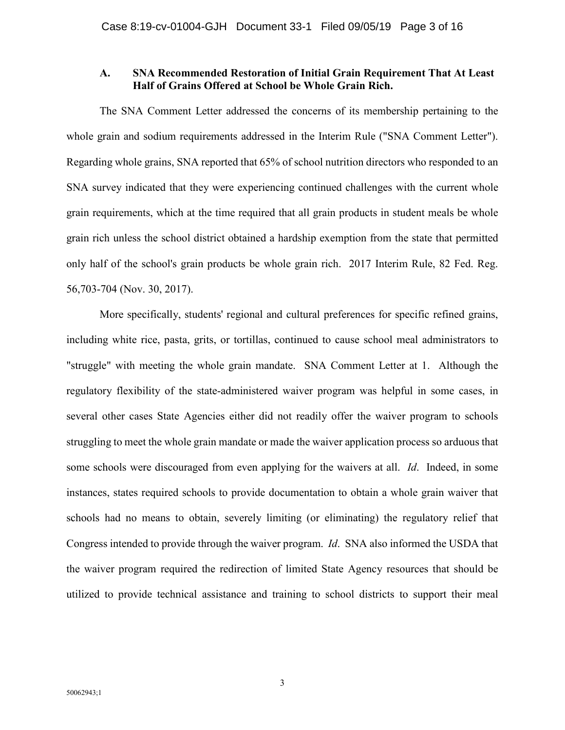#### **A. SNA Recommended Restoration of Initial Grain Requirement That At Least Half of Grains Offered at School be Whole Grain Rich.**

The SNA Comment Letter addressed the concerns of its membership pertaining to the whole grain and sodium requirements addressed in the Interim Rule ("SNA Comment Letter"). Regarding whole grains, SNA reported that 65% of school nutrition directors who responded to an SNA survey indicated that they were experiencing continued challenges with the current whole grain requirements, which at the time required that all grain products in student meals be whole grain rich unless the school district obtained a hardship exemption from the state that permitted only half of the school's grain products be whole grain rich. 2017 Interim Rule, 82 Fed. Reg. 56,703-704 (Nov. 30, 2017).

More specifically, students' regional and cultural preferences for specific refined grains, including white rice, pasta, grits, or tortillas, continued to cause school meal administrators to "struggle" with meeting the whole grain mandate. SNA Comment Letter at 1. Although the regulatory flexibility of the state-administered waiver program was helpful in some cases, in several other cases State Agencies either did not readily offer the waiver program to schools struggling to meet the whole grain mandate or made the waiver application process so arduous that some schools were discouraged from even applying for the waivers at all. *Id*. Indeed, in some instances, states required schools to provide documentation to obtain a whole grain waiver that schools had no means to obtain, severely limiting (or eliminating) the regulatory relief that Congress intended to provide through the waiver program. *Id*. SNA also informed the USDA that the waiver program required the redirection of limited State Agency resources that should be utilized to provide technical assistance and training to school districts to support their meal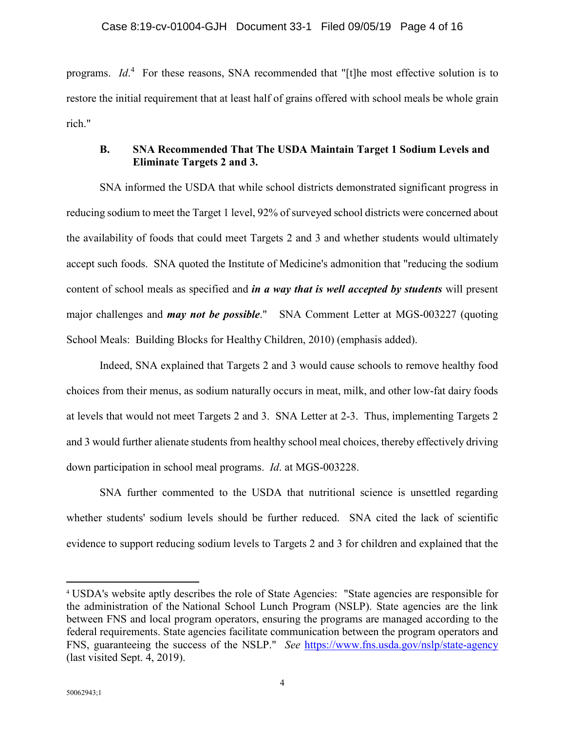programs. *Id*.<sup>4</sup> For these reasons, SNA recommended that "[t]he most effective solution is to restore the initial requirement that at least half of grains offered with school meals be whole grain rich."

# **B. SNA Recommended That The USDA Maintain Target 1 Sodium Levels and Eliminate Targets 2 and 3.**

SNA informed the USDA that while school districts demonstrated significant progress in reducing sodium to meet the Target 1 level, 92% of surveyed school districts were concerned about the availability of foods that could meet Targets 2 and 3 and whether students would ultimately accept such foods. SNA quoted the Institute of Medicine's admonition that "reducing the sodium content of school meals as specified and *in a way that is well accepted by students* will present major challenges and *may not be possible*." SNA Comment Letter at MGS-003227 (quoting School Meals: Building Blocks for Healthy Children, 2010) (emphasis added).

Indeed, SNA explained that Targets 2 and 3 would cause schools to remove healthy food choices from their menus, as sodium naturally occurs in meat, milk, and other low-fat dairy foods at levels that would not meet Targets 2 and 3. SNA Letter at 2-3. Thus, implementing Targets 2 and 3 would further alienate students from healthy school meal choices, thereby effectively driving down participation in school meal programs. *Id*. at MGS-003228.

SNA further commented to the USDA that nutritional science is unsettled regarding whether students' sodium levels should be further reduced. SNA cited the lack of scientific evidence to support reducing sodium levels to Targets 2 and 3 for children and explained that the

<sup>4</sup> USDA's website aptly describes the role of State Agencies: "State agencies are responsible for the administration of the National School Lunch Program (NSLP). State agencies are the link between FNS and local program operators, ensuring the programs are managed according to the federal requirements. State agencies facilitate communication between the program operators and FNS, guaranteeing the success of the NSLP." *See* https://www.fns.usda.gov/nslp/state-agency (last visited Sept. 4, 2019).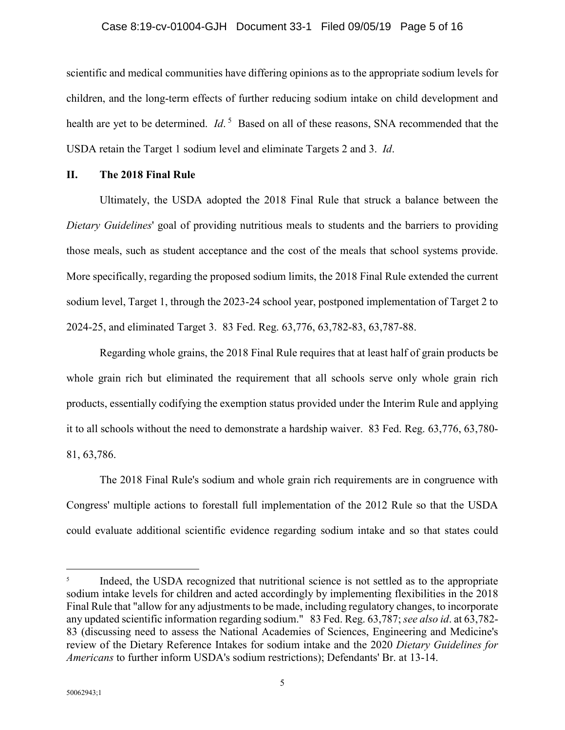scientific and medical communities have differing opinions as to the appropriate sodium levels for children, and the long-term effects of further reducing sodium intake on child development and health are yet to be determined. *Id*. <sup>5</sup> Based on all of these reasons, SNA recommended that the USDA retain the Target 1 sodium level and eliminate Targets 2 and 3. *Id*.

### **II. The 2018 Final Rule**

Ultimately, the USDA adopted the 2018 Final Rule that struck a balance between the *Dietary Guidelines*' goal of providing nutritious meals to students and the barriers to providing those meals, such as student acceptance and the cost of the meals that school systems provide. More specifically, regarding the proposed sodium limits, the 2018 Final Rule extended the current sodium level, Target 1, through the 2023-24 school year, postponed implementation of Target 2 to 2024-25, and eliminated Target 3. 83 Fed. Reg. 63,776, 63,782-83, 63,787-88.

Regarding whole grains, the 2018 Final Rule requires that at least half of grain products be whole grain rich but eliminated the requirement that all schools serve only whole grain rich products, essentially codifying the exemption status provided under the Interim Rule and applying it to all schools without the need to demonstrate a hardship waiver. 83 Fed. Reg. 63,776, 63,780- 81, 63,786.

The 2018 Final Rule's sodium and whole grain rich requirements are in congruence with Congress' multiple actions to forestall full implementation of the 2012 Rule so that the USDA could evaluate additional scientific evidence regarding sodium intake and so that states could

<sup>5</sup> Indeed, the USDA recognized that nutritional science is not settled as to the appropriate sodium intake levels for children and acted accordingly by implementing flexibilities in the 2018 Final Rule that "allow for any adjustments to be made, including regulatory changes, to incorporate any updated scientific information regarding sodium." 83 Fed. Reg. 63,787; *see also id*. at 63,782- 83 (discussing need to assess the National Academies of Sciences, Engineering and Medicine's review of the Dietary Reference Intakes for sodium intake and the 2020 *Dietary Guidelines for Americans* to further inform USDA's sodium restrictions); Defendants' Br. at 13-14.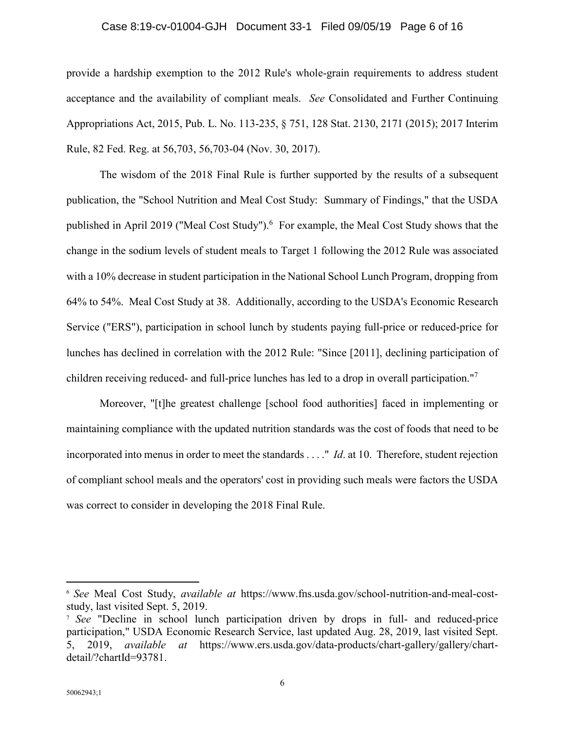#### Case 8:19-cv-01004-GJH Document 33-1 Filed 09/05/19 Page 6 of 16

provide a hardship exemption to the 2012 Rule's whole-grain requirements to address student acceptance and the availability of compliant meals. *See* Consolidated and Further Continuing Appropriations Act, 2015, Pub. L. No. 113-235, § 751, 128 Stat. 2130, 2171 (2015); 2017 Interim Rule, 82 Fed. Reg. at 56,703, 56,703-04 (Nov. 30, 2017).

The wisdom of the 2018 Final Rule is further supported by the results of a subsequent publication, the "School Nutrition and Meal Cost Study: Summary of Findings," that the USDA published in April 2019 ("Meal Cost Study").<sup>6</sup> For example, the Meal Cost Study shows that the change in the sodium levels of student meals to Target 1 following the 2012 Rule was associated with a 10% decrease in student participation in the National School Lunch Program, dropping from 64% to 54%. Meal Cost Study at 38. Additionally, according to the USDA's Economic Research Service ("ERS"), participation in school lunch by students paying full-price or reduced-price for lunches has declined in correlation with the 2012 Rule: "Since [2011], declining participation of children receiving reduced- and full-price lunches has led to a drop in overall participation."<sup>7</sup>

Moreover, "[t]he greatest challenge [school food authorities] faced in implementing or maintaining compliance with the updated nutrition standards was the cost of foods that need to be incorporated into menus in order to meet the standards . . . ." *Id*. at 10. Therefore, student rejection of compliant school meals and the operators' cost in providing such meals were factors the USDA was correct to consider in developing the 2018 Final Rule.

<sup>6</sup> *See* Meal Cost Study, *available at* https://www.fns.usda.gov/school-nutrition-and-meal-coststudy, last visited Sept. 5, 2019.

<sup>7</sup> *See* "Decline in school lunch participation driven by drops in full- and reduced-price participation," USDA Economic Research Service, last updated Aug. 28, 2019, last visited Sept. 5, 2019, *available at* https://www.ers.usda.gov/data-products/chart-gallery/gallery/chartdetail/?chartId=93781.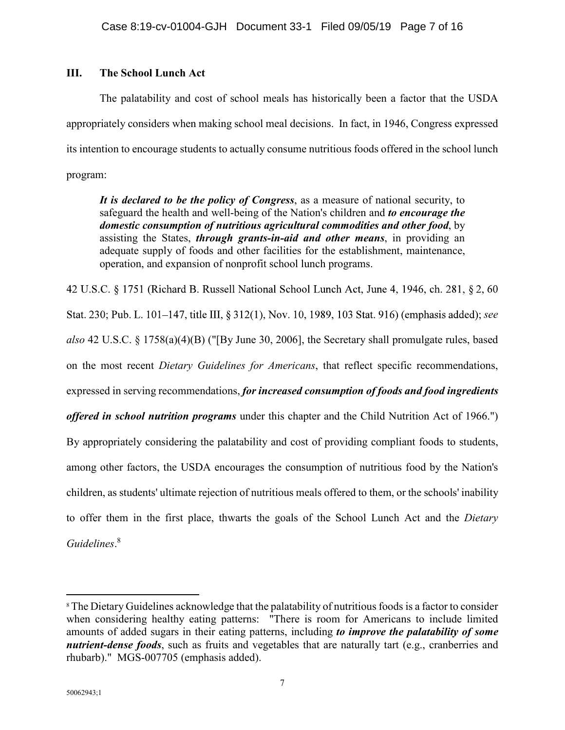# **III. The School Lunch Act**

The palatability and cost of school meals has historically been a factor that the USDA appropriately considers when making school meal decisions. In fact, in 1946, Congress expressed its intention to encourage students to actually consume nutritious foods offered in the school lunch program:

*It is declared to be the policy of Congress*, as a measure of national security, to safeguard the health and well-being of the Nation's children and *to encourage the domestic consumption of nutritious agricultural commodities and other food*, by assisting the States, *through grants-in-aid and other means*, in providing an adequate supply of foods and other facilities for the establishment, maintenance, operation, and expansion of nonprofit school lunch programs.

42 U.S.C. § 1751 (Richard B. Russell National School Lunch Act, June 4, 1946, ch. 281, § 2, 60 Stat. 230; Pub. L. 101–147, title III, § 312(1), Nov. 10, 1989, 103 Stat. 916) (emphasis added); see *also* 42 U.S.C. § 1758(a)(4)(B) ("[By June 30, 2006], the Secretary shall promulgate rules, based on the most recent *Dietary Guidelines for Americans*, that reflect specific recommendations, expressed in serving recommendations, *for increased consumption of foods and food ingredients offered in school nutrition programs* under this chapter and the Child Nutrition Act of 1966.") By appropriately considering the palatability and cost of providing compliant foods to students, among other factors, the USDA encourages the consumption of nutritious food by the Nation's children, as students' ultimate rejection of nutritious meals offered to them, or the schools' inability to offer them in the first place, thwarts the goals of the School Lunch Act and the *Dietary Guidelines*. 8

<sup>8</sup> The Dietary Guidelines acknowledge that the palatability of nutritious foods is a factor to consider when considering healthy eating patterns: "There is room for Americans to include limited amounts of added sugars in their eating patterns, including *to improve the palatability of some nutrient-dense foods*, such as fruits and vegetables that are naturally tart (e.g., cranberries and rhubarb)." MGS-007705 (emphasis added).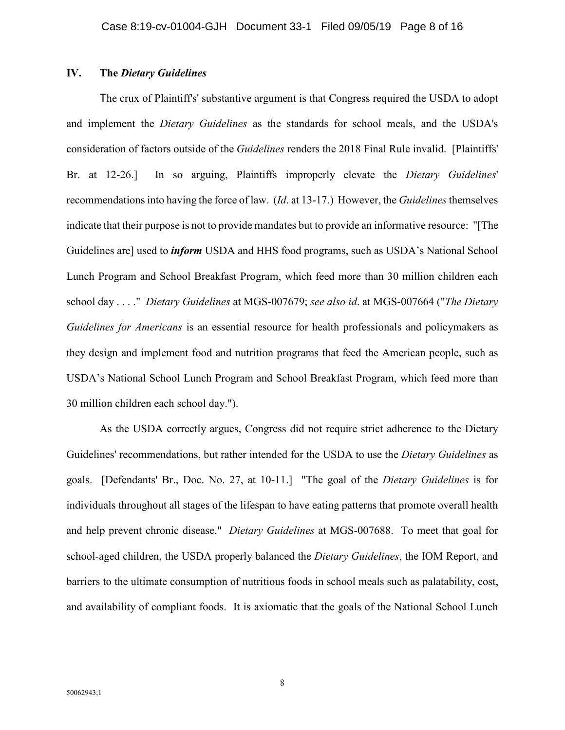#### **IV. The** *Dietary Guidelines*

The crux of Plaintiff's' substantive argument is that Congress required the USDA to adopt and implement the *Dietary Guidelines* as the standards for school meals, and the USDA's consideration of factors outside of the *Guidelines* renders the 2018 Final Rule invalid. [Plaintiffs' Br. at 12-26.] In so arguing, Plaintiffs improperly elevate the *Dietary Guidelines*' recommendations into having the force of law. (*Id*. at 13-17.) However, the *Guidelines* themselves indicate that their purpose is not to provide mandates but to provide an informative resource: "[The Guidelines are] used to *inform* USDA and HHS food programs, such as USDA's National School Lunch Program and School Breakfast Program, which feed more than 30 million children each school day . . . ." *Dietary Guidelines* at MGS-007679; *see also id*. at MGS-007664 ("*The Dietary Guidelines for Americans* is an essential resource for health professionals and policymakers as they design and implement food and nutrition programs that feed the American people, such as USDA's National School Lunch Program and School Breakfast Program, which feed more than 30 million children each school day.").

As the USDA correctly argues, Congress did not require strict adherence to the Dietary Guidelines' recommendations, but rather intended for the USDA to use the *Dietary Guidelines* as goals. [Defendants' Br., Doc. No. 27, at 10-11.] "The goal of the *Dietary Guidelines* is for individuals throughout all stages of the lifespan to have eating patterns that promote overall health and help prevent chronic disease." *Dietary Guidelines* at MGS-007688. To meet that goal for school-aged children, the USDA properly balanced the *Dietary Guidelines*, the IOM Report, and barriers to the ultimate consumption of nutritious foods in school meals such as palatability, cost, and availability of compliant foods. It is axiomatic that the goals of the National School Lunch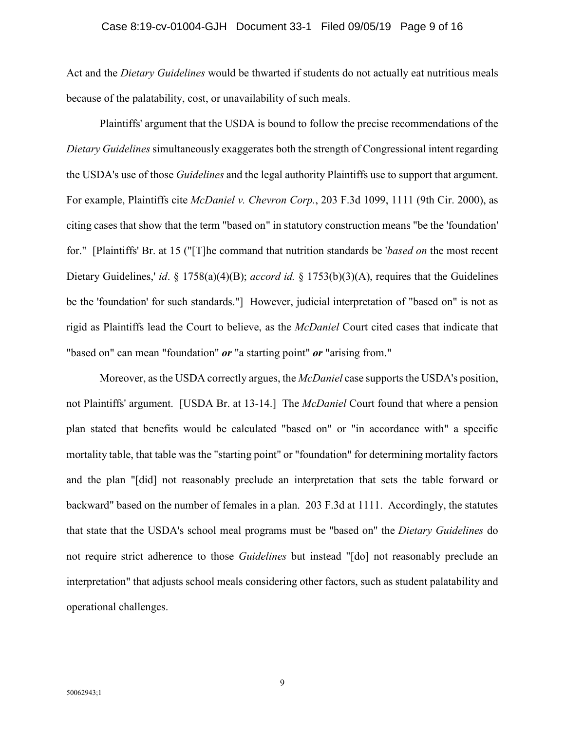Act and the *Dietary Guidelines* would be thwarted if students do not actually eat nutritious meals because of the palatability, cost, or unavailability of such meals.

Plaintiffs' argument that the USDA is bound to follow the precise recommendations of the *Dietary Guidelines* simultaneously exaggerates both the strength of Congressional intent regarding the USDA's use of those *Guidelines* and the legal authority Plaintiffs use to support that argument. For example, Plaintiffs cite *McDaniel v. Chevron Corp.*, 203 F.3d 1099, 1111 (9th Cir. 2000), as citing cases that show that the term "based on" in statutory construction means "be the 'foundation' for." [Plaintiffs' Br. at 15 ("[T]he command that nutrition standards be '*based on* the most recent Dietary Guidelines,' *id*. § 1758(a)(4)(B); *accord id.* § 1753(b)(3)(A), requires that the Guidelines be the 'foundation' for such standards."] However, judicial interpretation of "based on" is not as rigid as Plaintiffs lead the Court to believe, as the *McDaniel* Court cited cases that indicate that "based on" can mean "foundation" *or* "a starting point" *or* "arising from."

Moreover, as the USDA correctly argues, the *McDaniel* case supports the USDA's position, not Plaintiffs' argument. [USDA Br. at 13-14.] The *McDaniel* Court found that where a pension plan stated that benefits would be calculated "based on" or "in accordance with" a specific mortality table, that table was the "starting point" or "foundation" for determining mortality factors and the plan "[did] not reasonably preclude an interpretation that sets the table forward or backward" based on the number of females in a plan. 203 F.3d at 1111. Accordingly, the statutes that state that the USDA's school meal programs must be "based on" the *Dietary Guidelines* do not require strict adherence to those *Guidelines* but instead "[do] not reasonably preclude an interpretation" that adjusts school meals considering other factors, such as student palatability and operational challenges.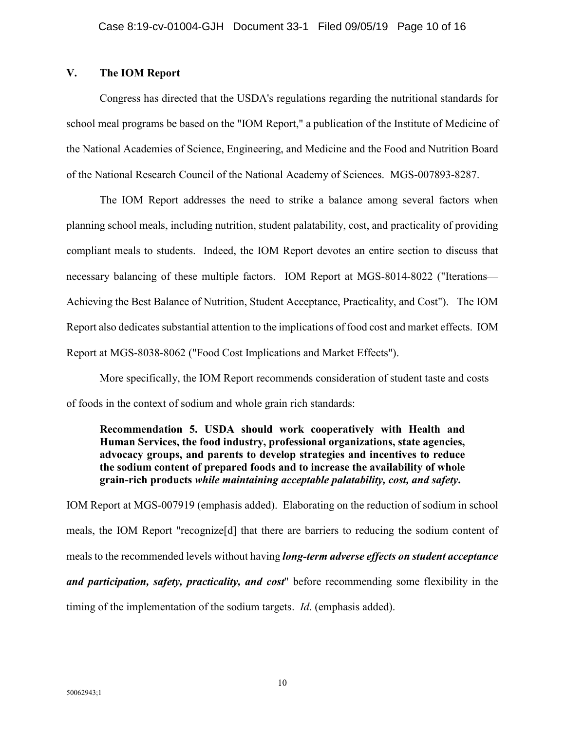### **V. The IOM Report**

Congress has directed that the USDA's regulations regarding the nutritional standards for school meal programs be based on the "IOM Report," a publication of the Institute of Medicine of the National Academies of Science, Engineering, and Medicine and the Food and Nutrition Board of the National Research Council of the National Academy of Sciences. MGS-007893-8287.

The IOM Report addresses the need to strike a balance among several factors when planning school meals, including nutrition, student palatability, cost, and practicality of providing compliant meals to students. Indeed, the IOM Report devotes an entire section to discuss that necessary balancing of these multiple factors. IOM Report at MGS-8014-8022 ("Iterations— Achieving the Best Balance of Nutrition, Student Acceptance, Practicality, and Cost"). The IOM Report also dedicates substantial attention to the implications of food cost and market effects. IOM Report at MGS-8038-8062 ("Food Cost Implications and Market Effects").

More specifically, the IOM Report recommends consideration of student taste and costs of foods in the context of sodium and whole grain rich standards:

**Recommendation 5. USDA should work cooperatively with Health and Human Services, the food industry, professional organizations, state agencies, advocacy groups, and parents to develop strategies and incentives to reduce the sodium content of prepared foods and to increase the availability of whole grain-rich products** *while maintaining acceptable palatability, cost, and safety***.** 

IOM Report at MGS-007919 (emphasis added). Elaborating on the reduction of sodium in school meals, the IOM Report "recognize[d] that there are barriers to reducing the sodium content of meals to the recommended levels without having *long-term adverse effects on student acceptance and participation, safety, practicality, and cost*" before recommending some flexibility in the timing of the implementation of the sodium targets. *Id*. (emphasis added).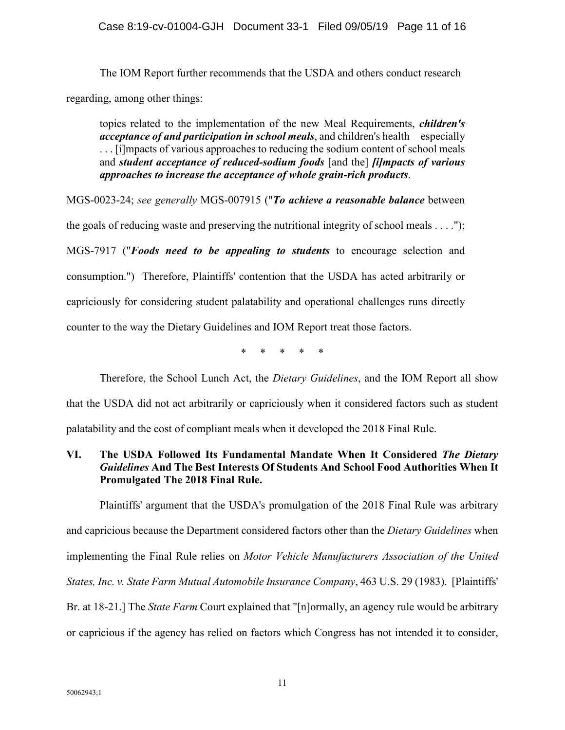The IOM Report further recommends that the USDA and others conduct research regarding, among other things:

topics related to the implementation of the new Meal Requirements, *children's acceptance of and participation in school meals*, and children's health—especially . . . [i]mpacts of various approaches to reducing the sodium content of school meals and *student acceptance of reduced-sodium foods* [and the] *[i]mpacts of various approaches to increase the acceptance of whole grain-rich products*.

MGS-0023-24; *see generally* MGS-007915 ("*To achieve a reasonable balance* between the goals of reducing waste and preserving the nutritional integrity of school meals  $\dots$ ."); MGS-7917 ("*Foods need to be appealing to students* to encourage selection and consumption.") Therefore, Plaintiffs' contention that the USDA has acted arbitrarily or capriciously for considering student palatability and operational challenges runs directly counter to the way the Dietary Guidelines and IOM Report treat those factors.

\* \* \* \* \*

Therefore, the School Lunch Act, the *Dietary Guidelines*, and the IOM Report all show that the USDA did not act arbitrarily or capriciously when it considered factors such as student palatability and the cost of compliant meals when it developed the 2018 Final Rule.

# **VI. The USDA Followed Its Fundamental Mandate When It Considered** *The Dietary Guidelines* **And The Best Interests Of Students And School Food Authorities When It Promulgated The 2018 Final Rule.**

Plaintiffs' argument that the USDA's promulgation of the 2018 Final Rule was arbitrary and capricious because the Department considered factors other than the *Dietary Guidelines* when implementing the Final Rule relies on *Motor Vehicle Manufacturers Association of the United States, Inc. v. State Farm Mutual Automobile Insurance Company*, 463 U.S. 29 (1983). [Plaintiffs' Br. at 18-21.] The *State Farm* Court explained that "[n]ormally, an agency rule would be arbitrary or capricious if the agency has relied on factors which Congress has not intended it to consider,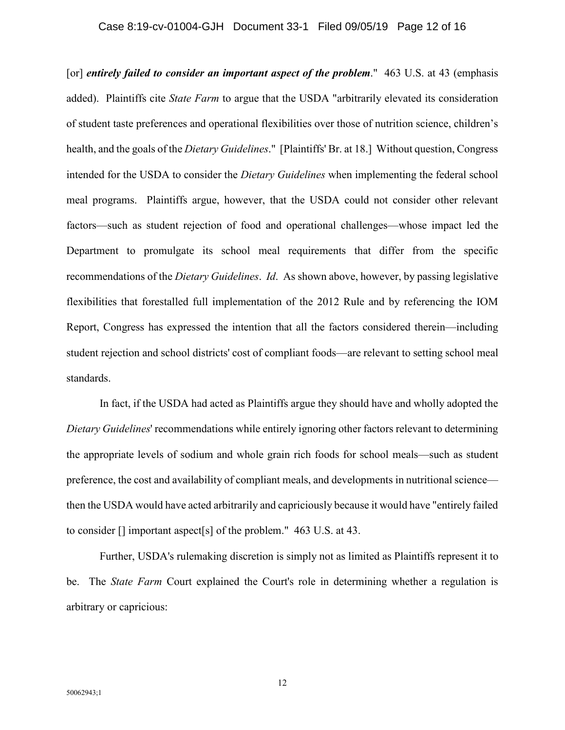[or] *entirely failed to consider an important aspect of the problem*." 463 U.S. at 43 (emphasis added). Plaintiffs cite *State Farm* to argue that the USDA "arbitrarily elevated its consideration of student taste preferences and operational flexibilities over those of nutrition science, children's health, and the goals of the *Dietary Guidelines*." [Plaintiffs' Br. at 18.] Without question, Congress intended for the USDA to consider the *Dietary Guidelines* when implementing the federal school meal programs. Plaintiffs argue, however, that the USDA could not consider other relevant factors—such as student rejection of food and operational challenges—whose impact led the Department to promulgate its school meal requirements that differ from the specific recommendations of the *Dietary Guidelines*. *Id*. As shown above, however, by passing legislative flexibilities that forestalled full implementation of the 2012 Rule and by referencing the IOM Report, Congress has expressed the intention that all the factors considered therein—including student rejection and school districts' cost of compliant foods—are relevant to setting school meal standards.

In fact, if the USDA had acted as Plaintiffs argue they should have and wholly adopted the *Dietary Guidelines*' recommendations while entirely ignoring other factors relevant to determining the appropriate levels of sodium and whole grain rich foods for school meals—such as student preference, the cost and availability of compliant meals, and developments in nutritional science then the USDA would have acted arbitrarily and capriciously because it would have "entirely failed to consider [] important aspect[s] of the problem." 463 U.S. at 43.

Further, USDA's rulemaking discretion is simply not as limited as Plaintiffs represent it to be. The *State Farm* Court explained the Court's role in determining whether a regulation is arbitrary or capricious:

12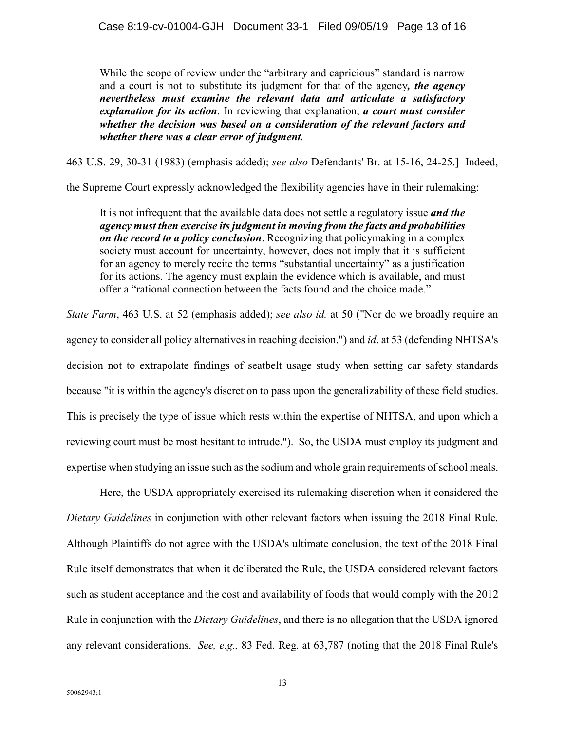While the scope of review under the "arbitrary and capricious" standard is narrow and a court is not to substitute its judgment for that of the agency*, the agency nevertheless must examine the relevant data and articulate a satisfactory explanation for its action*. In reviewing that explanation, *a court must consider whether the decision was based on a consideration of the relevant factors and whether there was a clear error of judgment.* 

463 U.S. 29, 30-31 (1983) (emphasis added); *see also* Defendants' Br. at 15-16, 24-25.] Indeed,

the Supreme Court expressly acknowledged the flexibility agencies have in their rulemaking:

It is not infrequent that the available data does not settle a regulatory issue *and the agency must then exercise its judgment in moving from the facts and probabilities on the record to a policy conclusion*. Recognizing that policymaking in a complex society must account for uncertainty, however, does not imply that it is sufficient for an agency to merely recite the terms "substantial uncertainty" as a justification for its actions. The agency must explain the evidence which is available, and must offer a "rational connection between the facts found and the choice made."

*State Farm*, 463 U.S. at 52 (emphasis added); *see also id.* at 50 ("Nor do we broadly require an agency to consider all policy alternatives in reaching decision.") and *id*. at 53 (defending NHTSA's decision not to extrapolate findings of seatbelt usage study when setting car safety standards because "it is within the agency's discretion to pass upon the generalizability of these field studies. This is precisely the type of issue which rests within the expertise of NHTSA, and upon which a reviewing court must be most hesitant to intrude."). So, the USDA must employ its judgment and expertise when studying an issue such as the sodium and whole grain requirements of school meals.

Here, the USDA appropriately exercised its rulemaking discretion when it considered the *Dietary Guidelines* in conjunction with other relevant factors when issuing the 2018 Final Rule. Although Plaintiffs do not agree with the USDA's ultimate conclusion, the text of the 2018 Final Rule itself demonstrates that when it deliberated the Rule, the USDA considered relevant factors such as student acceptance and the cost and availability of foods that would comply with the 2012 Rule in conjunction with the *Dietary Guidelines*, and there is no allegation that the USDA ignored any relevant considerations. *See, e.g.,* 83 Fed. Reg. at 63,787 (noting that the 2018 Final Rule's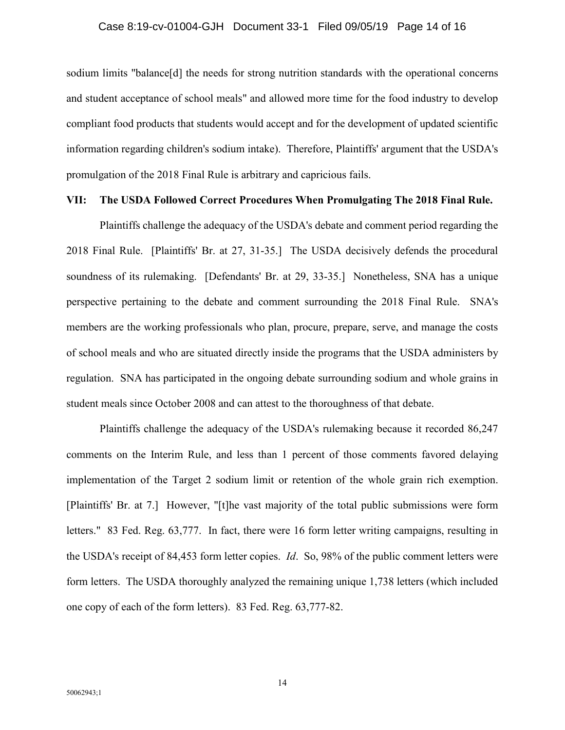sodium limits "balance[d] the needs for strong nutrition standards with the operational concerns and student acceptance of school meals" and allowed more time for the food industry to develop compliant food products that students would accept and for the development of updated scientific information regarding children's sodium intake). Therefore, Plaintiffs' argument that the USDA's promulgation of the 2018 Final Rule is arbitrary and capricious fails.

#### **VII: The USDA Followed Correct Procedures When Promulgating The 2018 Final Rule.**

Plaintiffs challenge the adequacy of the USDA's debate and comment period regarding the 2018 Final Rule. [Plaintiffs' Br. at 27, 31-35.] The USDA decisively defends the procedural soundness of its rulemaking. [Defendants' Br. at 29, 33-35.] Nonetheless, SNA has a unique perspective pertaining to the debate and comment surrounding the 2018 Final Rule. SNA's members are the working professionals who plan, procure, prepare, serve, and manage the costs of school meals and who are situated directly inside the programs that the USDA administers by regulation. SNA has participated in the ongoing debate surrounding sodium and whole grains in student meals since October 2008 and can attest to the thoroughness of that debate.

Plaintiffs challenge the adequacy of the USDA's rulemaking because it recorded 86,247 comments on the Interim Rule, and less than 1 percent of those comments favored delaying implementation of the Target 2 sodium limit or retention of the whole grain rich exemption. [Plaintiffs' Br. at 7.] However, "[t]he vast majority of the total public submissions were form letters." 83 Fed. Reg. 63,777. In fact, there were 16 form letter writing campaigns, resulting in the USDA's receipt of 84,453 form letter copies. *Id*. So, 98% of the public comment letters were form letters. The USDA thoroughly analyzed the remaining unique 1,738 letters (which included one copy of each of the form letters). 83 Fed. Reg. 63,777-82.

14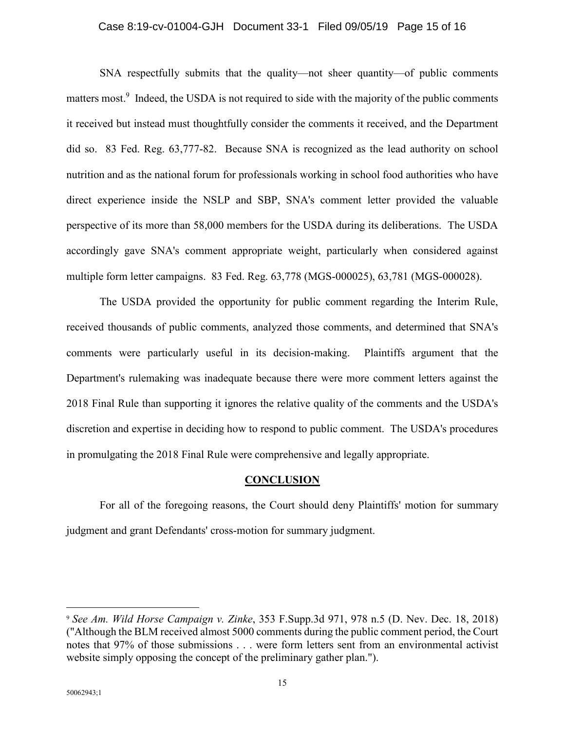#### Case 8:19-cv-01004-GJH Document 33-1 Filed 09/05/19 Page 15 of 16

SNA respectfully submits that the quality—not sheer quantity—of public comments matters most.<sup>9</sup> Indeed, the USDA is not required to side with the majority of the public comments it received but instead must thoughtfully consider the comments it received, and the Department did so. 83 Fed. Reg. 63,777-82. Because SNA is recognized as the lead authority on school nutrition and as the national forum for professionals working in school food authorities who have direct experience inside the NSLP and SBP, SNA's comment letter provided the valuable perspective of its more than 58,000 members for the USDA during its deliberations. The USDA accordingly gave SNA's comment appropriate weight, particularly when considered against multiple form letter campaigns. 83 Fed. Reg. 63,778 (MGS-000025), 63,781 (MGS-000028).

The USDA provided the opportunity for public comment regarding the Interim Rule, received thousands of public comments, analyzed those comments, and determined that SNA's comments were particularly useful in its decision-making. Plaintiffs argument that the Department's rulemaking was inadequate because there were more comment letters against the 2018 Final Rule than supporting it ignores the relative quality of the comments and the USDA's discretion and expertise in deciding how to respond to public comment. The USDA's procedures in promulgating the 2018 Final Rule were comprehensive and legally appropriate.

#### **CONCLUSION**

For all of the foregoing reasons, the Court should deny Plaintiffs' motion for summary judgment and grant Defendants' cross-motion for summary judgment.

<sup>9</sup> *See Am. Wild Horse Campaign v. Zinke*, 353 F.Supp.3d 971, 978 n.5 (D. Nev. Dec. 18, 2018) ("Although the BLM received almost 5000 comments during the public comment period, the Court notes that 97% of those submissions . . . were form letters sent from an environmental activist website simply opposing the concept of the preliminary gather plan.").